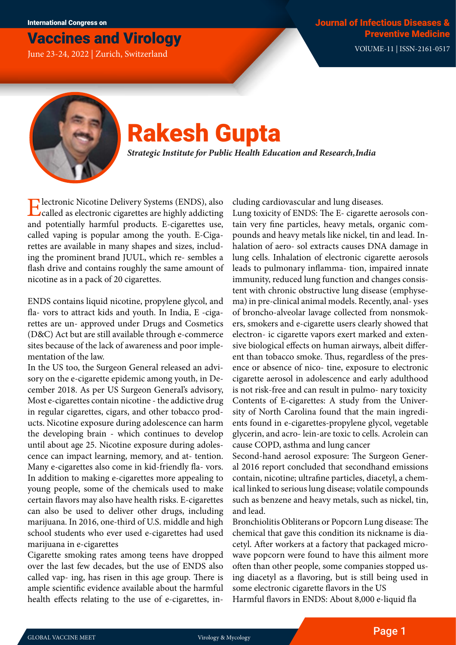## Vaccines and Virology

June 23-24, 2022 | Zurich, Switzerland VOlUME-11 | ISSN-2161-0517



# Rakesh Gupta

*Strategic Institute for Public Health Education and Research, India*

Electronic Nicotine Delivery Systems (ENDS), also called as electronic cigarettes are highly addicting and potentially harmful products. E-cigarettes use, called vaping is popular among the youth. E-Cigarettes are available in many shapes and sizes, including the prominent brand JUUL, which re- sembles a flash drive and contains roughly the same amount of nicotine as in a pack of 20 cigarettes.

ENDS contains liquid nicotine, propylene glycol, and fla- vors to attract kids and youth. In India, E -cigarettes are un- approved under Drugs and Cosmetics (D&C) Act but are still available through e-commerce sites because of the lack of awareness and poor implementation of the law.

In the US too, the Surgeon General released an advisory on the e-cigarette epidemic among youth, in December 2018. As per US Surgeon General's advisory, Most e-cigarettes contain nicotine - the addictive drug in regular cigarettes, cigars, and other tobacco products. Nicotine exposure during adolescence can harm the developing brain - which continues to develop until about age 25. Nicotine exposure during adolescence can impact learning, memory, and at- tention. Many e-cigarettes also come in kid-friendly fla- vors. In addition to making e-cigarettes more appealing to young people, some of the chemicals used to make certain flavors may also have health risks. E-cigarettes can also be used to deliver other drugs, including marijuana. In 2016, one-third of U.S. middle and high school students who ever used e-cigarettes had used marijuana in e-cigarettes

Cigarette smoking rates among teens have dropped over the last few decades, but the use of ENDS also called vap- ing, has risen in this age group. There is ample scientific evidence available about the harmful health effects relating to the use of e-cigarettes, including cardiovascular and lung diseases.

Lung toxicity of ENDS: The E- cigarette aerosols contain very fine particles, heavy metals, organic compounds and heavy metals like nickel, tin and lead. Inhalation of aero- sol extracts causes DNA damage in lung cells. Inhalation of electronic cigarette aerosols leads to pulmonary inflamma- tion, impaired innate immunity, reduced lung function and changes consistent with chronic obstructive lung disease (emphysema) in pre-clinical animal models. Recently, anal- yses of broncho-alveolar lavage collected from nonsmokers, smokers and e-cigarette users clearly showed that electron- ic cigarette vapors exert marked and extensive biological effects on human airways, albeit different than tobacco smoke. Thus, regardless of the presence or absence of nico- tine, exposure to electronic cigarette aerosol in adolescence and early adulthood is not risk-free and can result in pulmo- nary toxicity Contents of E-cigarettes: A study from the University of North Carolina found that the main ingredients found in e-cigarettes-propylene glycol, vegetable glycerin, and acro- lein-are toxic to cells. Acrolein can cause COPD, asthma and lung cancer

Second-hand aerosol exposure: The Surgeon General 2016 report concluded that secondhand emissions contain, nicotine; ultrafine particles, diacetyl, a chemical linked to serious lung disease; volatile compounds such as benzene and heavy metals, such as nickel, tin, and lead.

Bronchiolitis Obliterans or Popcorn Lung disease: The chemical that gave this condition its nickname is diacetyl. After workers at a factory that packaged microwave popcorn were found to have this ailment more often than other people, some companies stopped using diacetyl as a flavoring, but is still being used in some electronic cigarette flavors in the US

Harmful flavors in ENDS: About 8,000 e-liquid fla